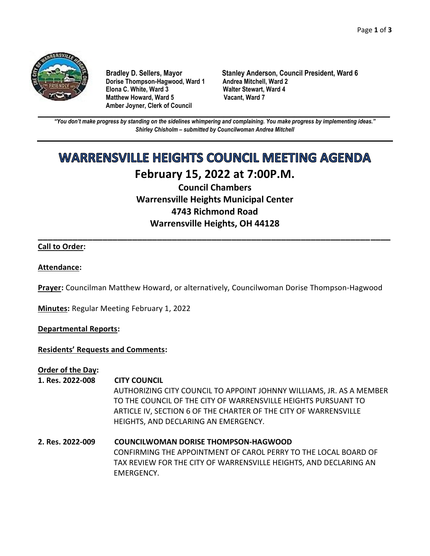

Dorise Thompson-Hagwood, Ward 1 Andrea Mitchell, Ward 2 **Elona C. White, Ward 3 Walter Stewart, Ward 4 Matthew Howard, Ward 5 Amber Joyner, Clerk of Council**

**Bradley D. Sellers, Mayor Stanley Anderson, Council President, Ward 6**

**\_\_\_\_\_\_\_\_\_\_\_\_\_\_\_\_\_\_\_\_\_\_\_\_\_\_\_\_\_\_\_\_\_\_\_\_\_\_\_\_\_\_\_\_\_\_\_\_\_\_\_\_\_\_\_\_\_\_\_\_\_\_\_\_\_\_\_\_\_\_\_\_\_\_\_\_\_\_\_\_\_\_\_\_\_\_\_\_\_\_\_\_\_\_\_\_\_\_\_\_\_\_\_\_\_\_\_\_\_\_** *"You don't make progress by standing on the sidelines whimpering and complaining. You make progress by implementing ideas." Shirley Chisholm – submitted by Councilwoman Andrea Mitchell*

# **WARRENSVILLE HEIGHTS COUNCIL MEETING AGENDA February 15, 2022 at 7:00P.M.**

**Council Chambers Warrensville Heights Municipal Center 4743 Richmond Road Warrensville Heights, OH 44128**

**\_\_\_\_\_\_\_\_\_\_\_\_\_\_\_\_\_\_\_\_\_\_\_\_\_\_\_\_\_\_\_\_\_\_\_\_\_\_\_\_\_\_\_\_\_\_\_\_\_\_\_\_\_\_\_\_\_\_\_\_\_\_\_\_\_\_\_\_\_\_\_**

# **Call to Order:**

#### **Attendance:**

**Prayer:** Councilman Matthew Howard, or alternatively, Councilwoman Dorise Thompson-Hagwood

**Minutes:** Regular Meeting February 1, 2022

#### **Departmental Reports:**

#### **Residents' Requests and Comments:**

**Order of the Day:**

#### **1. Res. 2022-008 CITY COUNCIL**

AUTHORIZING CITY COUNCIL TO APPOINT JOHNNY WILLIAMS, JR. AS A MEMBER TO THE COUNCIL OF THE CITY OF WARRENSVILLE HEIGHTS PURSUANT TO ARTICLE IV, SECTION 6 OF THE CHARTER OF THE CITY OF WARRENSVILLE HEIGHTS, AND DECLARING AN EMERGENCY.

**2. Res. 2022-009 COUNCILWOMAN DORISE THOMPSON-HAGWOOD** CONFIRMING THE APPOINTMENT OF CAROL PERRY TO THE LOCAL BOARD OF TAX REVIEW FOR THE CITY OF WARRENSVILLE HEIGHTS, AND DECLARING AN EMERGENCY.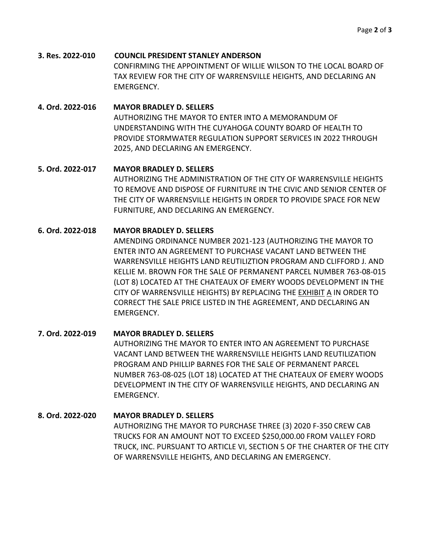**3. Res. 2022-010 COUNCIL PRESIDENT STANLEY ANDERSON** CONFIRMING THE APPOINTMENT OF WILLIE WILSON TO THE LOCAL BOARD OF TAX REVIEW FOR THE CITY OF WARRENSVILLE HEIGHTS, AND DECLARING AN EMERGENCY.

# **4. Ord. 2022-016 MAYOR BRADLEY D. SELLERS**  AUTHORIZING THE MAYOR TO ENTER INTO A MEMORANDUM OF UNDERSTANDING WITH THE CUYAHOGA COUNTY BOARD OF HEALTH TO PROVIDE STORMWATER REGULATION SUPPORT SERVICES IN 2022 THROUGH 2025, AND DECLARING AN EMERGENCY.

# **5. Ord. 2022-017 MAYOR BRADLEY D. SELLERS** AUTHORIZING THE ADMINISTRATION OF THE CITY OF WARRENSVILLE HEIGHTS TO REMOVE AND DISPOSE OF FURNITURE IN THE CIVIC AND SENIOR CENTER OF THE CITY OF WARRENSVILLE HEIGHTS IN ORDER TO PROVIDE SPACE FOR NEW FURNITURE, AND DECLARING AN EMERGENCY.

# **6. Ord. 2022-018 MAYOR BRADLEY D. SELLERS**

AMENDING ORDINANCE NUMBER 2021-123 (AUTHORIZING THE MAYOR TO ENTER INTO AN AGREEMENT TO PURCHASE VACANT LAND BETWEEN THE WARRENSVILLE HEIGHTS LAND REUTILIZTION PROGRAM AND CLIFFORD J. AND KELLIE M. BROWN FOR THE SALE OF PERMANENT PARCEL NUMBER 763-08-015 (LOT 8) LOCATED AT THE CHATEAUX OF EMERY WOODS DEVELOPMENT IN THE CITY OF WARRENSVILLE HEIGHTS) BY REPLACING THE EXHIBIT A IN ORDER TO CORRECT THE SALE PRICE LISTED IN THE AGREEMENT, AND DECLARING AN EMERGENCY.

### **7. Ord. 2022-019 MAYOR BRADLEY D. SELLERS** AUTHORIZING THE MAYOR TO ENTER INTO AN AGREEMENT TO PURCHASE VACANT LAND BETWEEN THE WARRENSVILLE HEIGHTS LAND REUTILIZATION PROGRAM AND PHILLIP BARNES FOR THE SALE OF PERMANENT PARCEL NUMBER 763-08-025 (LOT 18) LOCATED AT THE CHATEAUX OF EMERY WOODS DEVELOPMENT IN THE CITY OF WARRENSVILLE HEIGHTS, AND DECLARING AN EMERGENCY.

# **8. Ord. 2022-020 MAYOR BRADLEY D. SELLERS** AUTHORIZING THE MAYOR TO PURCHASE THREE (3) 2020 F-350 CREW CAB TRUCKS FOR AN AMOUNT NOT TO EXCEED \$250,000.00 FROM VALLEY FORD TRUCK, INC. PURSUANT TO ARTICLE VI, SECTION 5 OF THE CHARTER OF THE CITY OF WARRENSVILLE HEIGHTS, AND DECLARING AN EMERGENCY.